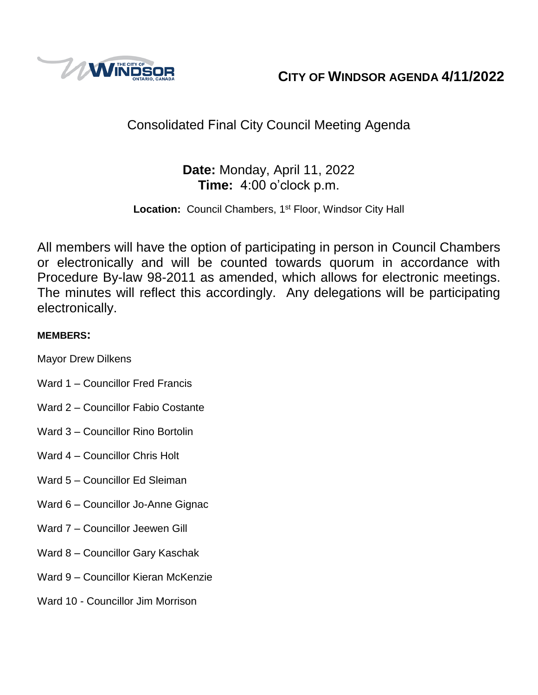

**CITY OF WINDSOR AGENDA 4/11/2022**

# Consolidated Final City Council Meeting Agenda

## **Date:** Monday, April 11, 2022 **Time:** 4:00 o'clock p.m.

Location: Council Chambers, 1<sup>st</sup> Floor, Windsor City Hall

All members will have the option of participating in person in Council Chambers or electronically and will be counted towards quorum in accordance with Procedure By-law 98-2011 as amended, which allows for electronic meetings. The minutes will reflect this accordingly. Any delegations will be participating electronically.

## **MEMBERS:**

Mayor Drew Dilkens

- Ward 1 Councillor Fred Francis
- Ward 2 Councillor Fabio Costante
- Ward 3 Councillor Rino Bortolin
- Ward 4 Councillor Chris Holt
- Ward 5 Councillor Ed Sleiman
- Ward 6 Councillor Jo-Anne Gignac
- Ward 7 Councillor Jeewen Gill
- Ward 8 Councillor Gary Kaschak
- Ward 9 Councillor Kieran McKenzie
- Ward 10 Councillor Jim Morrison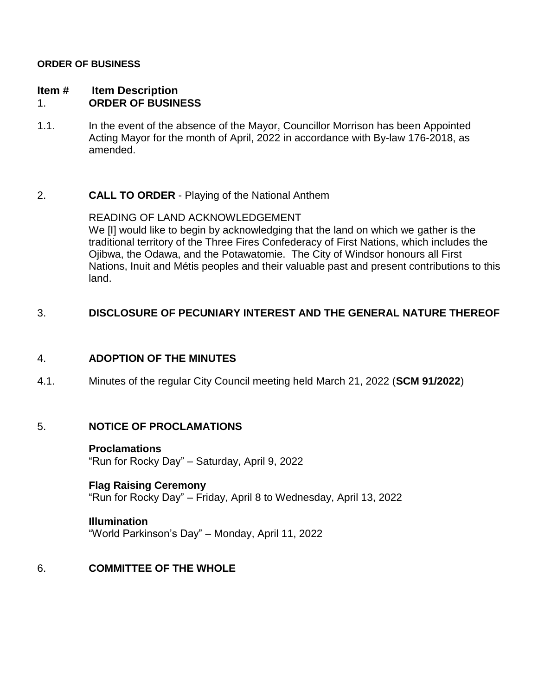#### **ORDER OF BUSINESS**

#### **Item # Item Description** 1. **ORDER OF BUSINESS**

1.1. In the event of the absence of the Mayor, Councillor Morrison has been Appointed Acting Mayor for the month of April, 2022 in accordance with By-law 176-2018, as amended.

## 2. **CALL TO ORDER** - Playing of the National Anthem

READING OF LAND ACKNOWLEDGEMENT We [I] would like to begin by acknowledging that the land on which we gather is the traditional territory of the Three Fires Confederacy of First Nations, which includes the Ojibwa, the Odawa, and the Potawatomie. The City of Windsor honours all First Nations, Inuit and Métis peoples and their valuable past and present contributions to this land.

## 3. **DISCLOSURE OF PECUNIARY INTEREST AND THE GENERAL NATURE THEREOF**

#### 4. **ADOPTION OF THE MINUTES**

4.1. Minutes of the regular City Council meeting held March 21, 2022 (**SCM 91/2022**)

#### 5. **NOTICE OF PROCLAMATIONS**

#### **Proclamations**

"Run for Rocky Day" – Saturday, April 9, 2022

#### **Flag Raising Ceremony**

"Run for Rocky Day" – Friday, April 8 to Wednesday, April 13, 2022

#### **Illumination**

"World Parkinson's Day" – Monday, April 11, 2022

## 6. **COMMITTEE OF THE WHOLE**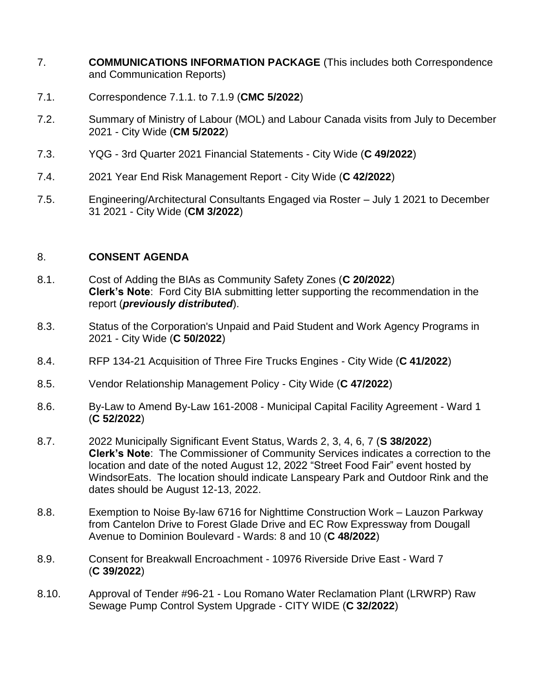- 7. **COMMUNICATIONS INFORMATION PACKAGE** (This includes both Correspondence and Communication Reports)
- 7.1. Correspondence 7.1.1. to 7.1.9 (**CMC 5/2022**)
- 7.2. Summary of Ministry of Labour (MOL) and Labour Canada visits from July to December 2021 - City Wide (**CM 5/2022**)
- 7.3. YQG 3rd Quarter 2021 Financial Statements City Wide (**C 49/2022**)
- 7.4. 2021 Year End Risk Management Report City Wide (**C 42/2022**)
- 7.5. Engineering/Architectural Consultants Engaged via Roster July 1 2021 to December 31 2021 - City Wide (**CM 3/2022**)

## 8. **CONSENT AGENDA**

- 8.1. Cost of Adding the BIAs as Community Safety Zones (**C 20/2022**) **Clerk's Note**: Ford City BIA submitting letter supporting the recommendation in the report (*previously distributed*).
- 8.3. Status of the Corporation's Unpaid and Paid Student and Work Agency Programs in 2021 - City Wide (**C 50/2022**)
- 8.4. RFP 134-21 Acquisition of Three Fire Trucks Engines City Wide (**C 41/2022**)
- 8.5. Vendor Relationship Management Policy City Wide (**C 47/2022**)
- 8.6. By-Law to Amend By-Law 161-2008 Municipal Capital Facility Agreement Ward 1 (**C 52/2022**)
- 8.7. 2022 Municipally Significant Event Status, Wards 2, 3, 4, 6, 7 (**S 38/2022**) **Clerk's Note**: The Commissioner of Community Services indicates a correction to the location and date of the noted August 12, 2022 "Street Food Fair" event hosted by WindsorEats. The location should indicate Lanspeary Park and Outdoor Rink and the dates should be August 12-13, 2022.
- 8.8. Exemption to Noise By-law 6716 for Nighttime Construction Work Lauzon Parkway from Cantelon Drive to Forest Glade Drive and EC Row Expressway from Dougall Avenue to Dominion Boulevard - Wards: 8 and 10 (**C 48/2022**)
- 8.9. Consent for Breakwall Encroachment 10976 Riverside Drive East Ward 7 (**C 39/2022**)
- 8.10. Approval of Tender #96-21 Lou Romano Water Reclamation Plant (LRWRP) Raw Sewage Pump Control System Upgrade - CITY WIDE (**C 32/2022**)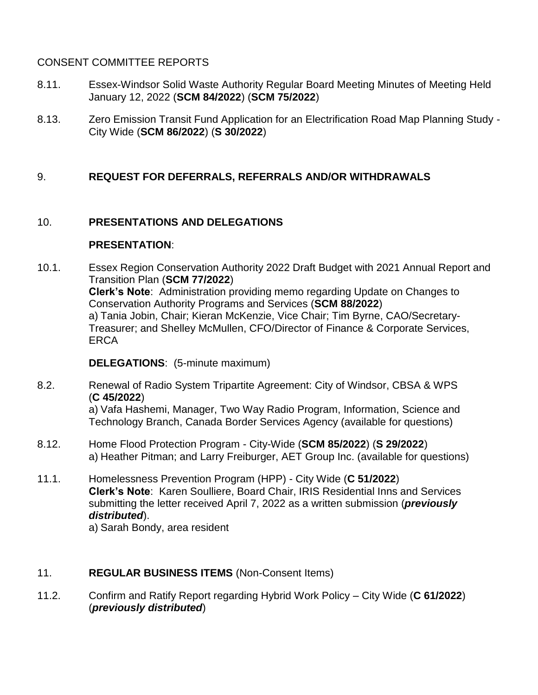## CONSENT COMMITTEE REPORTS

- 8.11. Essex-Windsor Solid Waste Authority Regular Board Meeting Minutes of Meeting Held January 12, 2022 (**SCM 84/2022**) (**SCM 75/2022**)
- 8.13. Zero Emission Transit Fund Application for an Electrification Road Map Planning Study City Wide (**SCM 86/2022**) (**S 30/2022**)

## 9. **REQUEST FOR DEFERRALS, REFERRALS AND/OR WITHDRAWALS**

## 10. **PRESENTATIONS AND DELEGATIONS**

#### **PRESENTATION**:

10.1. Essex Region Conservation Authority 2022 Draft Budget with 2021 Annual Report and Transition Plan (**SCM 77/2022**) **Clerk's Note**: Administration providing memo regarding Update on Changes to Conservation Authority Programs and Services (**SCM 88/2022**) a) Tania Jobin, Chair; Kieran McKenzie, Vice Chair; Tim Byrne, CAO/Secretary-Treasurer; and Shelley McMullen, CFO/Director of Finance & Corporate Services, **ERCA** 

**DELEGATIONS**: (5-minute maximum)

8.2. Renewal of Radio System Tripartite Agreement: City of Windsor, CBSA & WPS (**C 45/2022**) a) Vafa Hashemi, Manager, Two Way Radio Program, Information, Science and

Technology Branch, Canada Border Services Agency (available for questions)

- 8.12. Home Flood Protection Program City-Wide (**SCM 85/2022**) (**S 29/2022**) a) Heather Pitman; and Larry Freiburger, AET Group Inc. (available for questions)
- 11.1. Homelessness Prevention Program (HPP) City Wide (**C 51/2022**) **Clerk's Note**: Karen Soulliere, Board Chair, IRIS Residential Inns and Services submitting the letter received April 7, 2022 as a written submission (*previously distributed*).

a) Sarah Bondy, area resident

## 11. **REGULAR BUSINESS ITEMS** (Non-Consent Items)

11.2. Confirm and Ratify Report regarding Hybrid Work Policy – City Wide (**C 61/2022**) (*previously distributed*)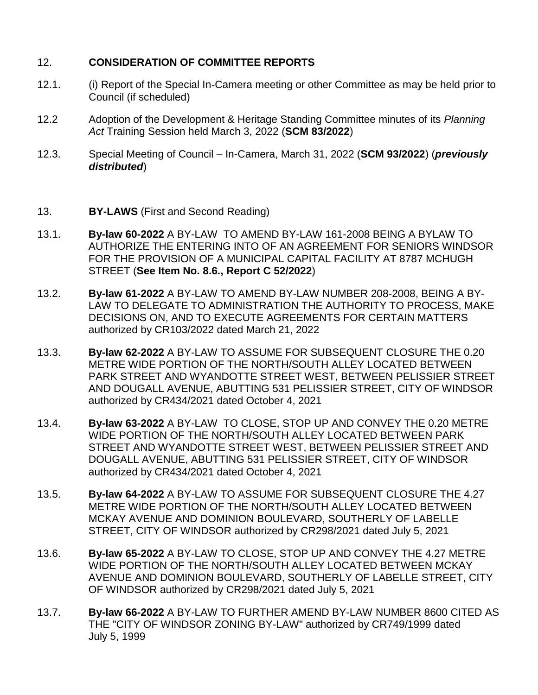## 12. **CONSIDERATION OF COMMITTEE REPORTS**

- 12.1. (i) Report of the Special In-Camera meeting or other Committee as may be held prior to Council (if scheduled)
- 12.2 Adoption of the Development & Heritage Standing Committee minutes of its *Planning Act* Training Session held March 3, 2022 (**SCM 83/2022**)
- 12.3. Special Meeting of Council In-Camera, March 31, 2022 (**SCM 93/2022**) (*previously distributed*)
- 13. **BY-LAWS** (First and Second Reading)
- 13.1. **By-law 60-2022** A BY-LAW TO AMEND BY-LAW 161-2008 BEING A BYLAW TO AUTHORIZE THE ENTERING INTO OF AN AGREEMENT FOR SENIORS WINDSOR FOR THE PROVISION OF A MUNICIPAL CAPITAL FACILITY AT 8787 MCHUGH STREET (**See Item No. 8.6., Report C 52/2022**)
- 13.2. **By-law 61-2022** A BY-LAW TO AMEND BY-LAW NUMBER 208-2008, BEING A BY-LAW TO DELEGATE TO ADMINISTRATION THE AUTHORITY TO PROCESS, MAKE DECISIONS ON, AND TO EXECUTE AGREEMENTS FOR CERTAIN MATTERS authorized by CR103/2022 dated March 21, 2022
- 13.3. **By-law 62-2022** A BY-LAW TO ASSUME FOR SUBSEQUENT CLOSURE THE 0.20 METRE WIDE PORTION OF THE NORTH/SOUTH ALLEY LOCATED BETWEEN PARK STREET AND WYANDOTTE STREET WEST, BETWEEN PELISSIER STREET AND DOUGALL AVENUE, ABUTTING 531 PELISSIER STREET, CITY OF WINDSOR authorized by CR434/2021 dated October 4, 2021
- 13.4. **By-law 63-2022** A BY-LAW TO CLOSE, STOP UP AND CONVEY THE 0.20 METRE WIDE PORTION OF THE NORTH/SOUTH ALLEY LOCATED BETWEEN PARK STREET AND WYANDOTTE STREET WEST, BETWEEN PELISSIER STREET AND DOUGALL AVENUE, ABUTTING 531 PELISSIER STREET, CITY OF WINDSOR authorized by CR434/2021 dated October 4, 2021
- 13.5. **By-law 64-2022** A BY-LAW TO ASSUME FOR SUBSEQUENT CLOSURE THE 4.27 METRE WIDE PORTION OF THE NORTH/SOUTH ALLEY LOCATED BETWEEN MCKAY AVENUE AND DOMINION BOULEVARD, SOUTHERLY OF LABELLE STREET, CITY OF WINDSOR authorized by CR298/2021 dated July 5, 2021
- 13.6. **By-law 65-2022** A BY-LAW TO CLOSE, STOP UP AND CONVEY THE 4.27 METRE WIDE PORTION OF THE NORTH/SOUTH ALLEY LOCATED BETWEEN MCKAY AVENUE AND DOMINION BOULEVARD, SOUTHERLY OF LABELLE STREET, CITY OF WINDSOR authorized by CR298/2021 dated July 5, 2021
- 13.7. **By-law 66-2022** A BY-LAW TO FURTHER AMEND BY-LAW NUMBER 8600 CITED AS THE "CITY OF WINDSOR ZONING BY-LAW" authorized by CR749/1999 dated July 5, 1999